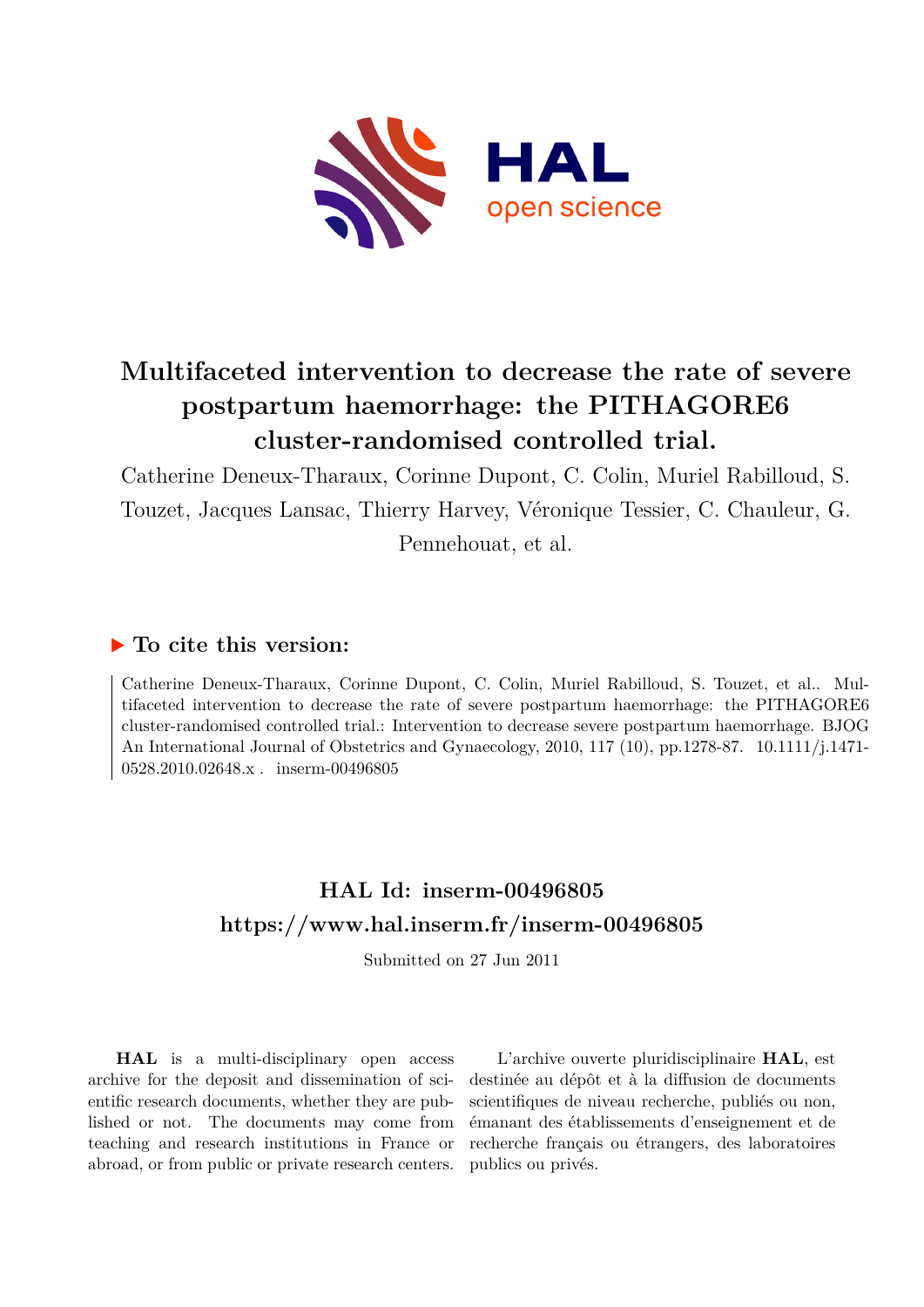

# **Multifaceted intervention to decrease the rate of severe postpartum haemorrhage: the PITHAGORE6 cluster-randomised controlled trial.**

Catherine Deneux-Tharaux, Corinne Dupont, C. Colin, Muriel Rabilloud, S. Touzet, Jacques Lansac, Thierry Harvey, Véronique Tessier, C. Chauleur, G. Pennehouat, et al.

## **To cite this version:**

Catherine Deneux-Tharaux, Corinne Dupont, C. Colin, Muriel Rabilloud, S. Touzet, et al.. Multifaceted intervention to decrease the rate of severe postpartum haemorrhage: the PITHAGORE6 cluster-randomised controlled trial.: Intervention to decrease severe postpartum haemorrhage. BJOG An International Journal of Obstetrics and Gynaecology, 2010, 117 (10), pp.1278-87. 10.1111/j.1471- $0528.2010.02648.x$ . inserm-00496805

## **HAL Id: inserm-00496805 <https://www.hal.inserm.fr/inserm-00496805>**

Submitted on 27 Jun 2011

**HAL** is a multi-disciplinary open access archive for the deposit and dissemination of scientific research documents, whether they are published or not. The documents may come from teaching and research institutions in France or abroad, or from public or private research centers.

L'archive ouverte pluridisciplinaire **HAL**, est destinée au dépôt et à la diffusion de documents scientifiques de niveau recherche, publiés ou non, émanant des établissements d'enseignement et de recherche français ou étrangers, des laboratoires publics ou privés.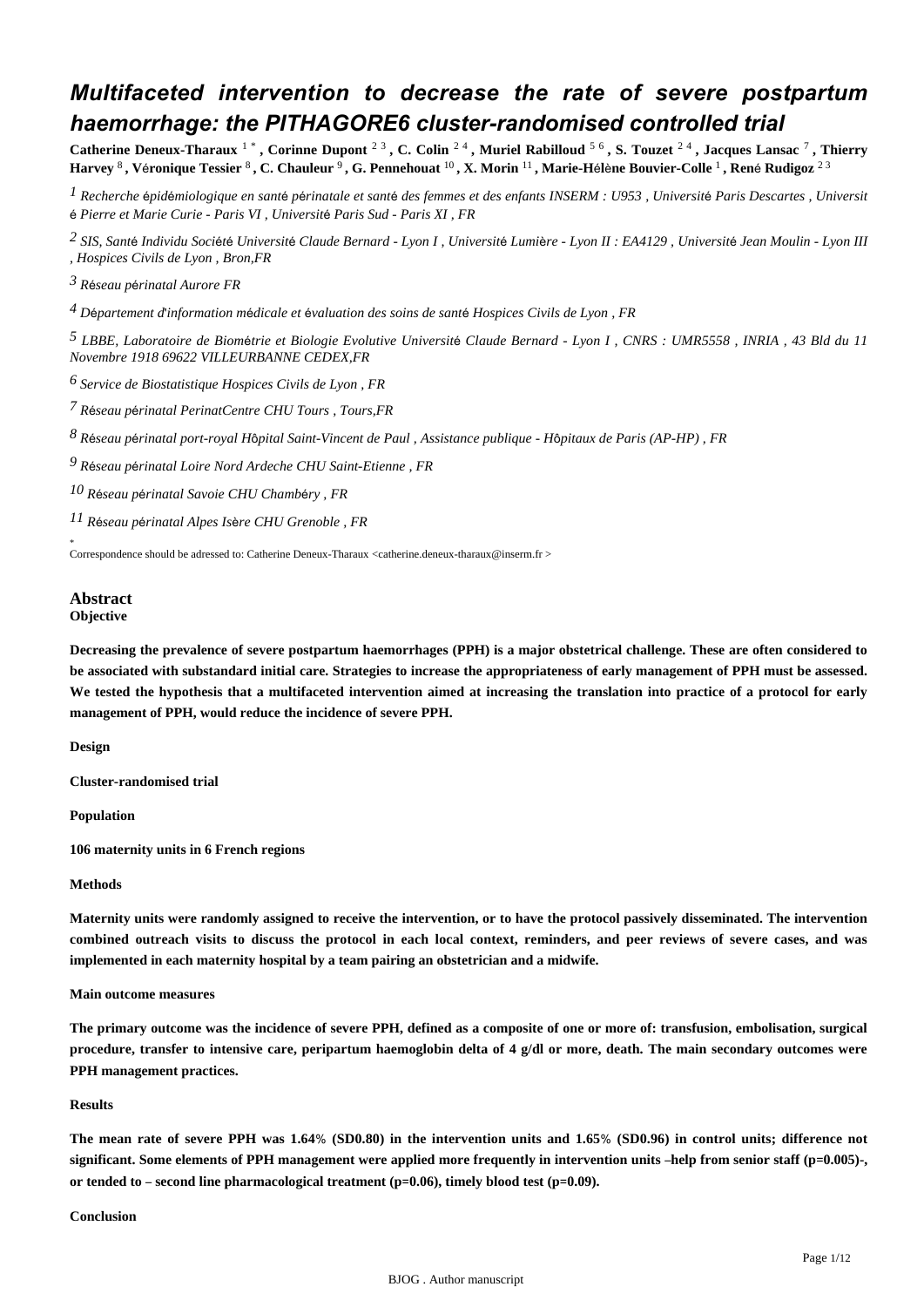## *Multifaceted intervention to decrease the rate of severe postpartum haemorrhage: the PITHAGORE6 cluster-randomised controlled trial*

Catherine Deneux-Tharaux <sup>1</sup> \*, Corinne Dupont <sup>2 3</sup>, C. Colin <sup>2 4</sup>, Muriel Rabilloud <sup>5 6</sup>, S. Touzet <sup>2 4</sup>, Jacques Lansac <sup>7</sup>, Thierry **Harvey** <sup>8</sup> **, V**é**ronique Tessier** <sup>8</sup> **, C. Chauleur** <sup>9</sup> **, G. Pennehouat** <sup>10</sup> **, X. Morin** <sup>11</sup> **, Marie-H**é**l**è**ne Bouvier-Colle** <sup>1</sup> **, Ren**é **Rudigoz** 2 3

<sup>1</sup> Recherche épidémiologique en santé périnatale et santé des femmes et des enfants INSERM : U953, Université Paris Descartes, Universit é *Pierre et Marie Curie - Paris VI , Universit*é *Paris Sud - Paris XI , FR*

*SIS, Sant Individu Soci t 2* <sup>é</sup> <sup>é</sup> <sup>é</sup> *Universit*é *Claude Bernard - Lyon I , Universit*é *Lumi*è*re - Lyon II : EA4129 , Universit*é *Jean Moulin - Lyon III , Hospices Civils de Lyon , Bron,FR*

*R seau p rinatal Aurore 3* <sup>é</sup> <sup>é</sup> *FR*

*D partement d information m dicale et valuation des soins de sant 4* <sup>é</sup> ' <sup>é</sup> <sup>é</sup> <sup>é</sup> *Hospices Civils de Lyon , FR*

*LBBE, Laboratoire de Biom trie et Biologie Evolutive 5* <sup>é</sup> *Universit*é *Claude Bernard - Lyon I , CNRS : UMR5558 , INRIA , 43 Bld du 11 Novembre 1918 69622 VILLEURBANNE CEDEX,FR*

*Service de Biostatistique 6 Hospices Civils de Lyon , FR*

*R seau p rinatal PerinatCentre 7* <sup>é</sup> <sup>é</sup> *CHU Tours , Tours,FR*

*R seau p rinatal port-royal 8* <sup>é</sup> <sup>é</sup> *H*ô*pital Saint-Vincent de Paul , Assistance publique - H*ô*pitaux de Paris (AP-HP) , FR*

*R seau p rinatal Loire Nord Ardeche 9* <sup>é</sup> <sup>é</sup> *CHU Saint-Etienne , FR*

*R seau p rinatal Savoie 10* <sup>é</sup> <sup>é</sup> *CHU Chamb*é*ry , FR*

*R seau p rinatal Alpes Is re 11* <sup>é</sup> <sup>é</sup> <sup>è</sup> *CHU Grenoble , FR*

\* Correspondence should be adressed to: Catherine Deneux-Tharaux <catherine.deneux-tharaux@inserm.fr >

#### **Abstract Objective**

**Decreasing the prevalence of severe postpartum haemorrhages (PPH) is a major obstetrical challenge. These are often considered to be associated with substandard initial care. Strategies to increase the appropriateness of early management of PPH must be assessed. We tested the hypothesis that a multifaceted intervention aimed at increasing the translation into practice of a protocol for early management of PPH, would reduce the incidence of severe PPH.**

**Design**

**Cluster-randomised trial**

**Population**

**106 maternity units in 6 French regions**

## **Methods**

**Maternity units were randomly assigned to receive the intervention, or to have the protocol passively disseminated. The intervention combined outreach visits to discuss the protocol in each local context, reminders, and peer reviews of severe cases, and was implemented in each maternity hospital by a team pairing an obstetrician and a midwife.**

**Main outcome measures**

**The primary outcome was the incidence of severe PPH, defined as a composite of one or more of: transfusion, embolisation, surgical procedure, transfer to intensive care, peripartum haemoglobin delta of 4 g/dl or more, death. The main secondary outcomes were PPH management practices.**

#### **Results**

**The mean rate of severe PPH was 1.64**% **(SD0.80) in the intervention units and 1.65**% **(SD0.96) in control units; difference not significant. Some elements of PPH management were applied more frequently in intervention units** –**help from senior staff (p**=**0.005)-, or tended to** – **second line pharmacological treatment (p**=**0.06), timely blood test (p**=**0.09).**

#### **Conclusion**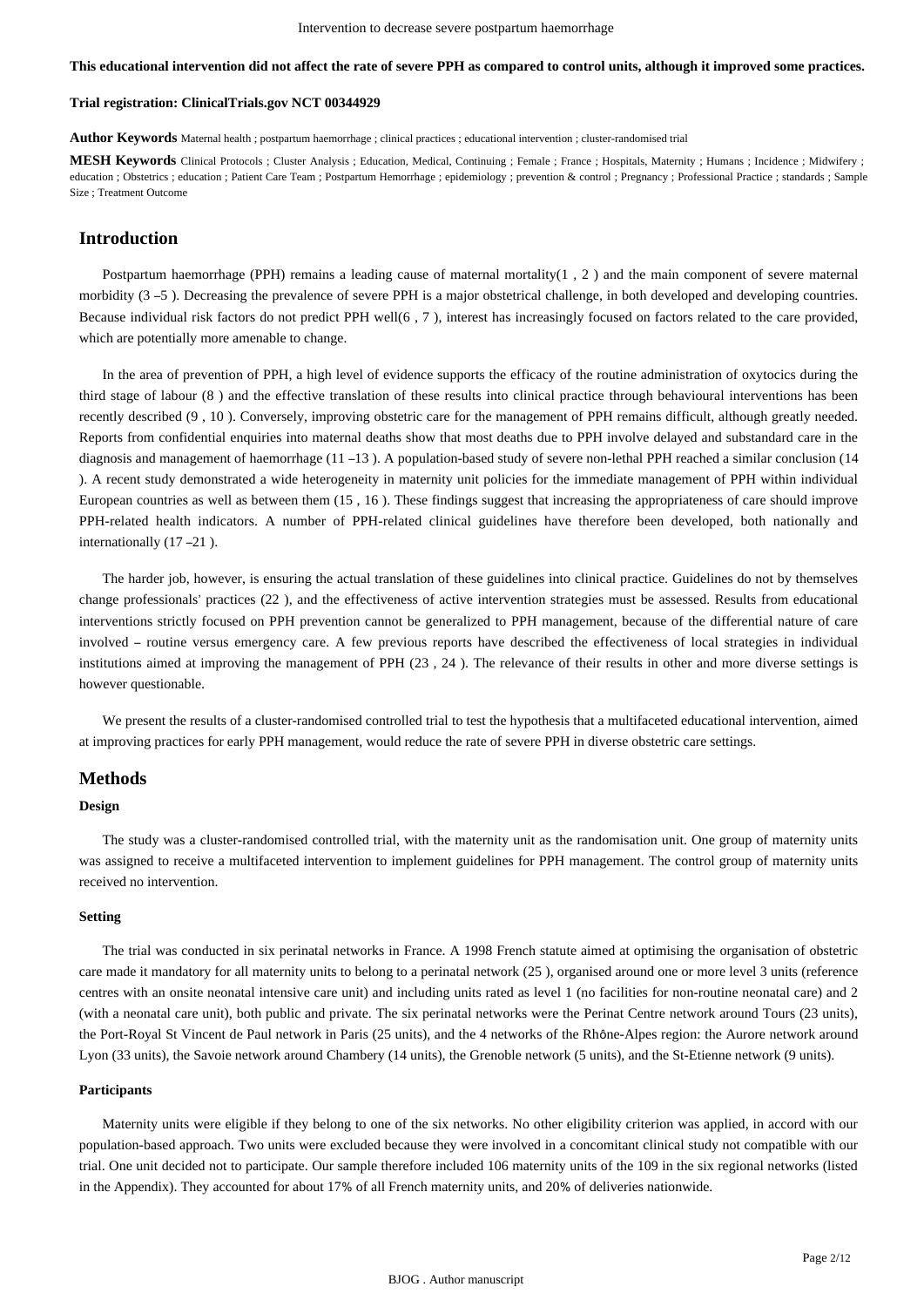## **This educational intervention did not affect the rate of severe PPH as compared to control units, although it improved some practices.**

#### **Trial registration: ClinicalTrials.gov NCT 00344929**

**Author Keywords** Maternal health ; postpartum haemorrhage ; clinical practices ; educational intervention ; cluster-randomised trial

**MESH Keywords** Clinical Protocols ; Cluster Analysis ; Education, Medical, Continuing ; Female ; France ; Hospitals, Maternity ; Humans ; Incidence ; Midwifery ; education ; Obstetrics ; education ; Patient Care Team ; Postpartum Hemorrhage ; epidemiology ; prevention & control ; Pregnancy ; Professional Practice ; standards ; Sample Size ; Treatment Outcome

## **Introduction**

Postpartum haemorrhage (PPH) remains a leading cause of maternal mortality( $1, 2$ ) and the main component of severe maternal morbidity (3 –5). Decreasing the prevalence of severe PPH is a major obstetrical challenge, in both developed and developing countries. Because individual risk factors do not predict PPH well(6 , 7 ), interest has increasingly focused on factors related to the care provided, which are potentially more amenable to change.

In the area of prevention of PPH, a high level of evidence supports the efficacy of the routine administration of oxytocics during the third stage of labour (8 ) and the effective translation of these results into clinical practice through behavioural interventions has been recently described (9 , 10 ). Conversely, improving obstetric care for the management of PPH remains difficult, although greatly needed. Reports from confidential enquiries into maternal deaths show that most deaths due to PPH involve delayed and substandard care in the diagnosis and management of haemorrhage (11 –13 ). A population-based study of severe non-lethal PPH reached a similar conclusion (14 ). A recent study demonstrated a wide heterogeneity in maternity unit policies for the immediate management of PPH within individual European countries as well as between them (15 , 16 ). These findings suggest that increasing the appropriateness of care should improve PPH-related health indicators. A number of PPH-related clinical guidelines have therefore been developed, both nationally and internationally (17 –21 ).

The harder job, however, is ensuring the actual translation of these guidelines into clinical practice. Guidelines do not by themselves change professionals' practices (22 ), and the effectiveness of active intervention strategies must be assessed. Results from educational interventions strictly focused on PPH prevention cannot be generalized to PPH management, because of the differential nature of care involved – routine versus emergency care. A few previous reports have described the effectiveness of local strategies in individual institutions aimed at improving the management of PPH (23 , 24 ). The relevance of their results in other and more diverse settings is however questionable.

We present the results of a cluster-randomised controlled trial to test the hypothesis that a multifaceted educational intervention, aimed at improving practices for early PPH management, would reduce the rate of severe PPH in diverse obstetric care settings.

#### **Methods**

## **Design**

The study was a cluster-randomised controlled trial, with the maternity unit as the randomisation unit. One group of maternity units was assigned to receive a multifaceted intervention to implement guidelines for PPH management. The control group of maternity units received no intervention.

## **Setting**

The trial was conducted in six perinatal networks in France. A 1998 French statute aimed at optimising the organisation of obstetric care made it mandatory for all maternity units to belong to a perinatal network (25 ), organised around one or more level 3 units (reference centres with an onsite neonatal intensive care unit) and including units rated as level 1 (no facilities for non-routine neonatal care) and 2 (with a neonatal care unit), both public and private. The six perinatal networks were the Perinat Centre network around Tours (23 units), the Port-Royal St Vincent de Paul network in Paris (25 units), and the 4 networks of the Rhône-Alpes region: the Aurore network around Lyon (33 units), the Savoie network around Chambery (14 units), the Grenoble network (5 units), and the St-Etienne network (9 units).

#### **Participants**

Maternity units were eligible if they belong to one of the six networks. No other eligibility criterion was applied, in accord with our population-based approach. Two units were excluded because they were involved in a concomitant clinical study not compatible with our trial. One unit decided not to participate. Our sample therefore included 106 maternity units of the 109 in the six regional networks (listed in the Appendix). They accounted for about 17% of all French maternity units, and 20% of deliveries nationwide.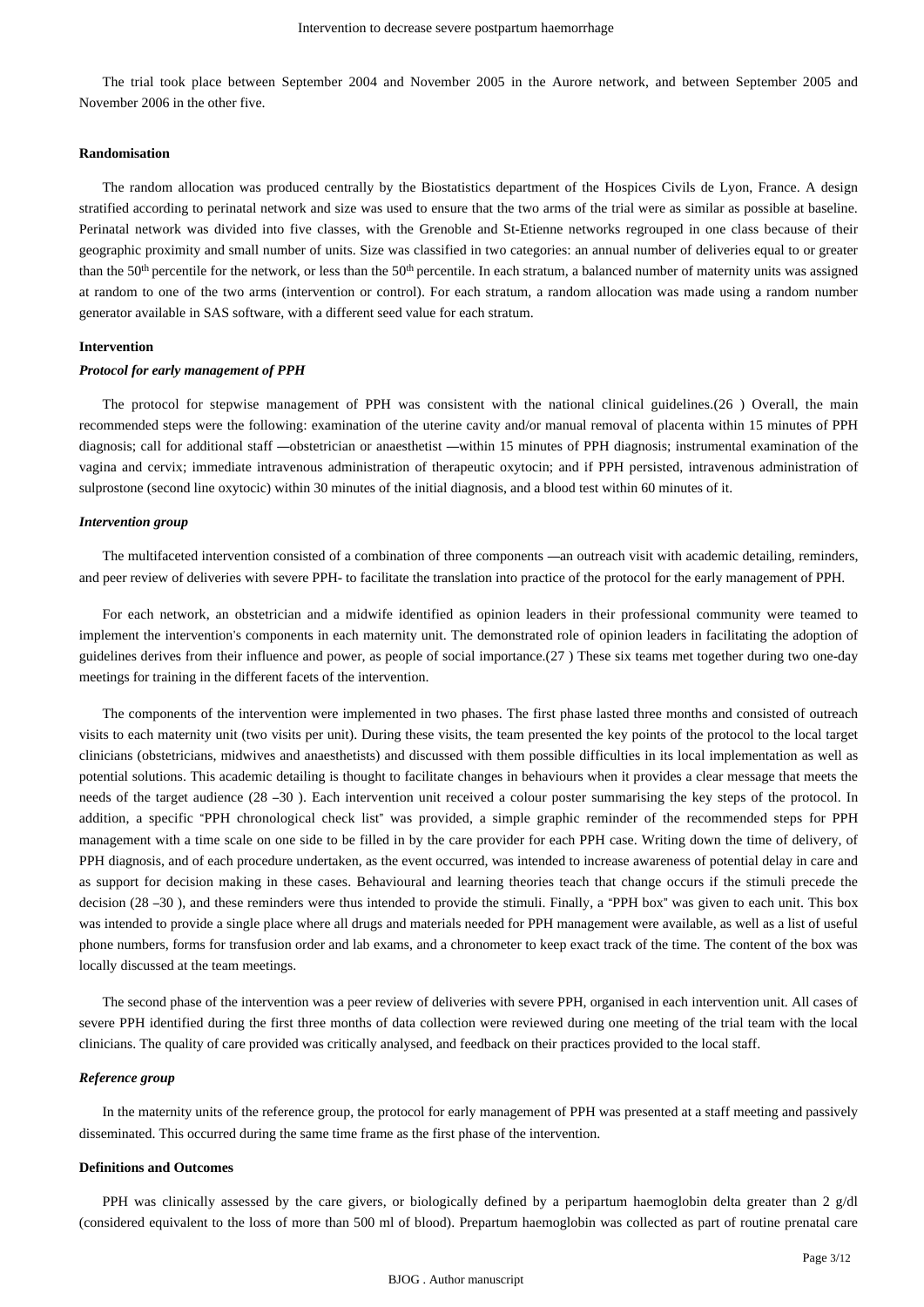The trial took place between September 2004 and November 2005 in the Aurore network, and between September 2005 and November 2006 in the other five.

#### **Randomisation**

The random allocation was produced centrally by the Biostatistics department of the Hospices Civils de Lyon, France. A design stratified according to perinatal network and size was used to ensure that the two arms of the trial were as similar as possible at baseline. Perinatal network was divided into five classes, with the Grenoble and St-Etienne networks regrouped in one class because of their geographic proximity and small number of units. Size was classified in two categories: an annual number of deliveries equal to or greater than the 50<sup>th</sup> percentile for the network, or less than the 50<sup>th</sup> percentile. In each stratum, a balanced number of maternity units was assigned at random to one of the two arms (intervention or control). For each stratum, a random allocation was made using a random number generator available in SAS software, with a different seed value for each stratum.

#### **Intervention**

#### *Protocol for early management of PPH*

The protocol for stepwise management of PPH was consistent with the national clinical guidelines.(26 ) Overall, the main recommended steps were the following: examination of the uterine cavity and/or manual removal of placenta within 15 minutes of PPH diagnosis; call for additional staff —obstetrician or anaesthetist —within 15 minutes of PPH diagnosis; instrumental examination of the vagina and cervix; immediate intravenous administration of therapeutic oxytocin; and if PPH persisted, intravenous administration of sulprostone (second line oxytocic) within 30 minutes of the initial diagnosis, and a blood test within 60 minutes of it.

#### *Intervention group*

The multifaceted intervention consisted of a combination of three components —an outreach visit with academic detailing, reminders, and peer review of deliveries with severe PPH- to facilitate the translation into practice of the protocol for the early management of PPH.

For each network, an obstetrician and a midwife identified as opinion leaders in their professional community were teamed to implement the intervention's components in each maternity unit. The demonstrated role of opinion leaders in facilitating the adoption of guidelines derives from their influence and power, as people of social importance.(27 ) These six teams met together during two one-day meetings for training in the different facets of the intervention.

The components of the intervention were implemented in two phases. The first phase lasted three months and consisted of outreach visits to each maternity unit (two visits per unit). During these visits, the team presented the key points of the protocol to the local target clinicians (obstetricians, midwives and anaesthetists) and discussed with them possible difficulties in its local implementation as well as potential solutions. This academic detailing is thought to facilitate changes in behaviours when it provides a clear message that meets the needs of the target audience (28 –30 ). Each intervention unit received a colour poster summarising the key steps of the protocol. In addition, a specific "PPH chronological check list" was provided, a simple graphic reminder of the recommended steps for PPH management with a time scale on one side to be filled in by the care provider for each PPH case. Writing down the time of delivery, of PPH diagnosis, and of each procedure undertaken, as the event occurred, was intended to increase awareness of potential delay in care and as support for decision making in these cases. Behavioural and learning theories teach that change occurs if the stimuli precede the decision (28 –30 ), and these reminders were thus intended to provide the stimuli. Finally, a "PPH box" was given to each unit. This box was intended to provide a single place where all drugs and materials needed for PPH management were available, as well as a list of useful phone numbers, forms for transfusion order and lab exams, and a chronometer to keep exact track of the time. The content of the box was locally discussed at the team meetings.

The second phase of the intervention was a peer review of deliveries with severe PPH, organised in each intervention unit. All cases of severe PPH identified during the first three months of data collection were reviewed during one meeting of the trial team with the local clinicians. The quality of care provided was critically analysed, and feedback on their practices provided to the local staff.

#### *Reference group*

In the maternity units of the reference group, the protocol for early management of PPH was presented at a staff meeting and passively disseminated. This occurred during the same time frame as the first phase of the intervention.

## **Definitions and Outcomes**

PPH was clinically assessed by the care givers, or biologically defined by a peripartum haemoglobin delta greater than 2 g/dl (considered equivalent to the loss of more than 500 ml of blood). Prepartum haemoglobin was collected as part of routine prenatal care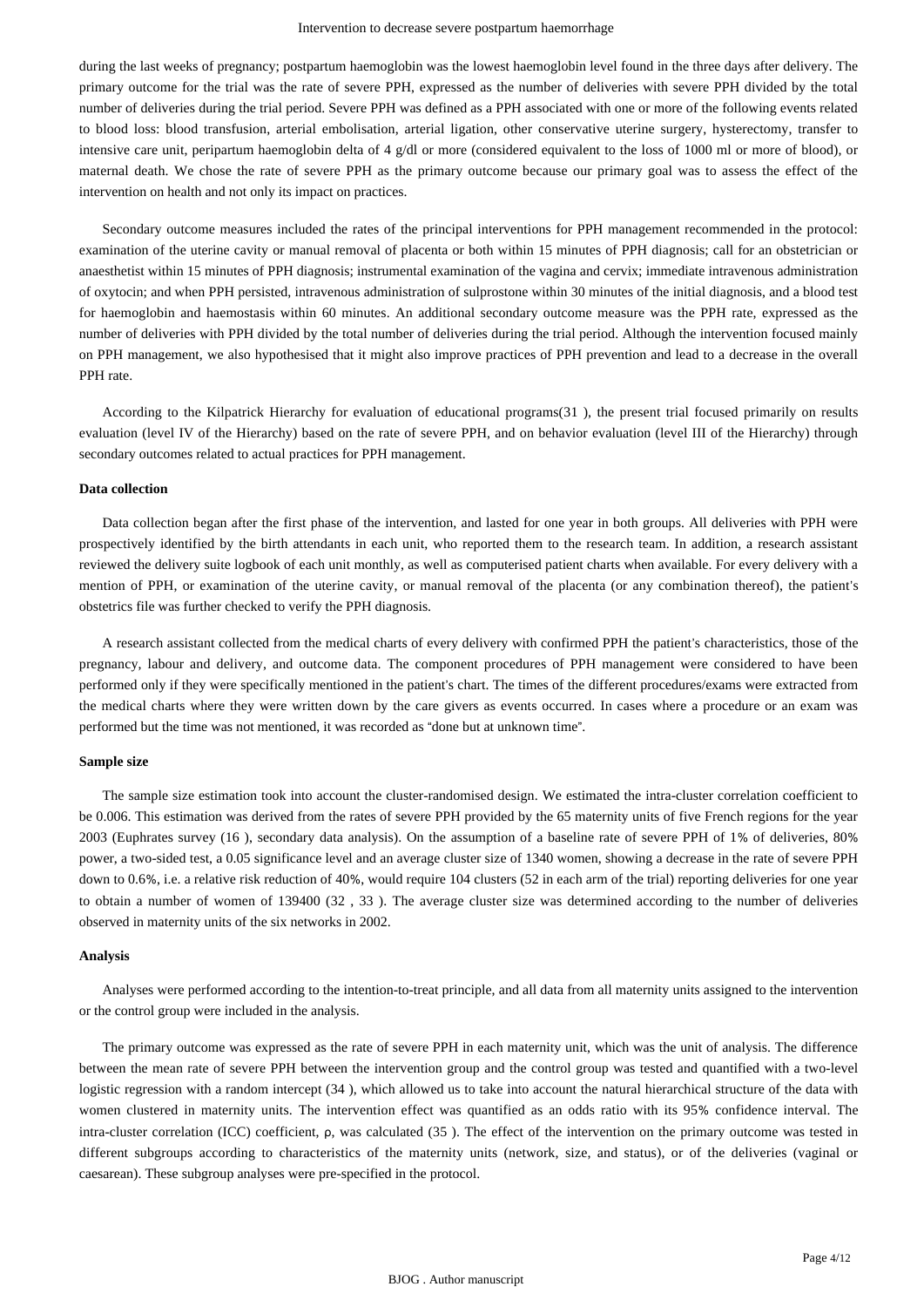#### Intervention to decrease severe postpartum haemorrhage

during the last weeks of pregnancy; postpartum haemoglobin was the lowest haemoglobin level found in the three days after delivery. The primary outcome for the trial was the rate of severe PPH, expressed as the number of deliveries with severe PPH divided by the total number of deliveries during the trial period. Severe PPH was defined as a PPH associated with one or more of the following events related to blood loss: blood transfusion, arterial embolisation, arterial ligation, other conservative uterine surgery, hysterectomy, transfer to intensive care unit, peripartum haemoglobin delta of 4 g/dl or more (considered equivalent to the loss of 1000 ml or more of blood), or maternal death. We chose the rate of severe PPH as the primary outcome because our primary goal was to assess the effect of the intervention on health and not only its impact on practices.

Secondary outcome measures included the rates of the principal interventions for PPH management recommended in the protocol: examination of the uterine cavity or manual removal of placenta or both within 15 minutes of PPH diagnosis; call for an obstetrician or anaesthetist within 15 minutes of PPH diagnosis; instrumental examination of the vagina and cervix; immediate intravenous administration of oxytocin; and when PPH persisted, intravenous administration of sulprostone within 30 minutes of the initial diagnosis, and a blood test for haemoglobin and haemostasis within 60 minutes. An additional secondary outcome measure was the PPH rate, expressed as the number of deliveries with PPH divided by the total number of deliveries during the trial period. Although the intervention focused mainly on PPH management, we also hypothesised that it might also improve practices of PPH prevention and lead to a decrease in the overall PPH rate.

According to the Kilpatrick Hierarchy for evaluation of educational programs(31 ), the present trial focused primarily on results evaluation (level IV of the Hierarchy) based on the rate of severe PPH, and on behavior evaluation (level III of the Hierarchy) through secondary outcomes related to actual practices for PPH management.

#### **Data collection**

Data collection began after the first phase of the intervention, and lasted for one year in both groups. All deliveries with PPH were prospectively identified by the birth attendants in each unit, who reported them to the research team. In addition, a research assistant reviewed the delivery suite logbook of each unit monthly, as well as computerised patient charts when available. For every delivery with a mention of PPH, or examination of the uterine cavity, or manual removal of the placenta (or any combination thereof), the patient's obstetrics file was further checked to verify the PPH diagnosis.

A research assistant collected from the medical charts of every delivery with confirmed PPH the patient's characteristics, those of the pregnancy, labour and delivery, and outcome data. The component procedures of PPH management were considered to have been performed only if they were specifically mentioned in the patient's chart. The times of the different procedures/exams were extracted from the medical charts where they were written down by the care givers as events occurred. In cases where a procedure or an exam was performed but the time was not mentioned, it was recorded as "done but at unknown time".

#### **Sample size**

The sample size estimation took into account the cluster-randomised design. We estimated the intra-cluster correlation coefficient to be 0.006. This estimation was derived from the rates of severe PPH provided by the 65 maternity units of five French regions for the year 2003 (Euphrates survey (16 ), secondary data analysis). On the assumption of a baseline rate of severe PPH of 1% of deliveries, 80% power, a two-sided test, a 0.05 significance level and an average cluster size of 1340 women, showing a decrease in the rate of severe PPH down to 0.6%, i.e. a relative risk reduction of 40%, would require 104 clusters (52 in each arm of the trial) reporting deliveries for one year to obtain a number of women of 139400 (32 , 33 ). The average cluster size was determined according to the number of deliveries observed in maternity units of the six networks in 2002.

## **Analysis**

Analyses were performed according to the intention-to-treat principle, and all data from all maternity units assigned to the intervention or the control group were included in the analysis.

The primary outcome was expressed as the rate of severe PPH in each maternity unit, which was the unit of analysis. The difference between the mean rate of severe PPH between the intervention group and the control group was tested and quantified with a two-level logistic regression with a random intercept (34 ), which allowed us to take into account the natural hierarchical structure of the data with women clustered in maternity units. The intervention effect was quantified as an odds ratio with its 95% confidence interval. The intra-cluster correlation (ICC) coefficient, ρ, was calculated (35 ). The effect of the intervention on the primary outcome was tested in different subgroups according to characteristics of the maternity units (network, size, and status), or of the deliveries (vaginal or caesarean). These subgroup analyses were pre-specified in the protocol.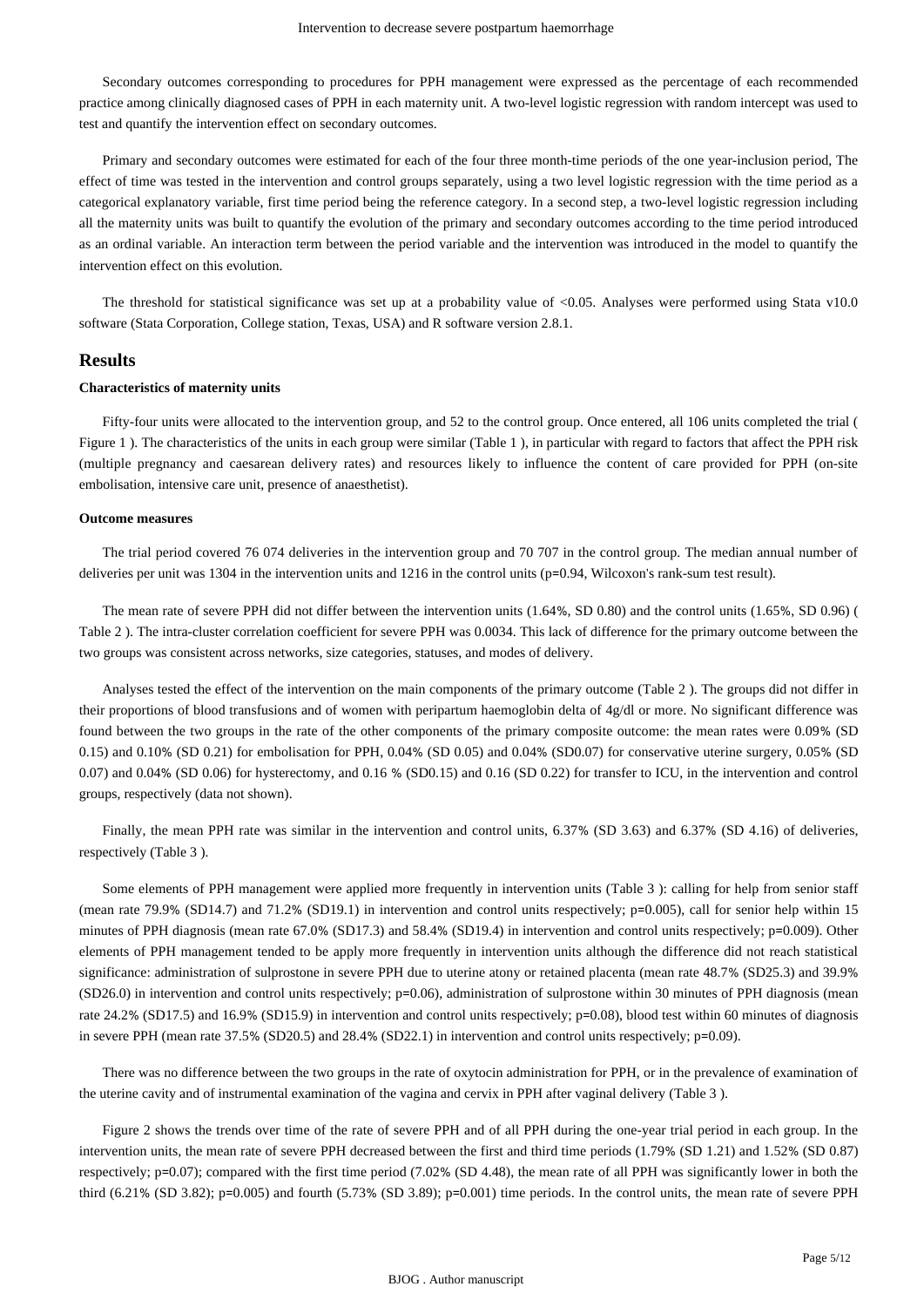Secondary outcomes corresponding to procedures for PPH management were expressed as the percentage of each recommended practice among clinically diagnosed cases of PPH in each maternity unit. A two-level logistic regression with random intercept was used to test and quantify the intervention effect on secondary outcomes.

Primary and secondary outcomes were estimated for each of the four three month-time periods of the one year-inclusion period, The effect of time was tested in the intervention and control groups separately, using a two level logistic regression with the time period as a categorical explanatory variable, first time period being the reference category. In a second step, a two-level logistic regression including all the maternity units was built to quantify the evolution of the primary and secondary outcomes according to the time period introduced as an ordinal variable. An interaction term between the period variable and the intervention was introduced in the model to quantify the intervention effect on this evolution.

The threshold for statistical significance was set up at a probability value of <0.05. Analyses were performed using Stata v10.0 software (Stata Corporation, College station, Texas, USA) and R software version 2.8.1.

### **Results**

#### **Characteristics of maternity units**

Fifty-four units were allocated to the intervention group, and 52 to the control group. Once entered, all 106 units completed the trial ( Figure 1 ). The characteristics of the units in each group were similar (Table 1 ), in particular with regard to factors that affect the PPH risk (multiple pregnancy and caesarean delivery rates) and resources likely to influence the content of care provided for PPH (on-site embolisation, intensive care unit, presence of anaesthetist).

## **Outcome measures**

The trial period covered 76 074 deliveries in the intervention group and 70 707 in the control group. The median annual number of deliveries per unit was 1304 in the intervention units and 1216 in the control units (p=0.94, Wilcoxon's rank-sum test result).

The mean rate of severe PPH did not differ between the intervention units (1.64%, SD 0.80) and the control units (1.65%, SD 0.96) ( Table 2 ). The intra-cluster correlation coefficient for severe PPH was 0.0034. This lack of difference for the primary outcome between the two groups was consistent across networks, size categories, statuses, and modes of delivery.

Analyses tested the effect of the intervention on the main components of the primary outcome (Table 2 ). The groups did not differ in their proportions of blood transfusions and of women with peripartum haemoglobin delta of 4g/dl or more. No significant difference was found between the two groups in the rate of the other components of the primary composite outcome: the mean rates were 0.09% (SD 0.15) and 0.10% (SD 0.21) for embolisation for PPH, 0.04% (SD 0.05) and 0.04% (SD0.07) for conservative uterine surgery, 0.05% (SD 0.07) and 0.04% (SD 0.06) for hysterectomy, and 0.16 % (SD0.15) and 0.16 (SD 0.22) for transfer to ICU, in the intervention and control groups, respectively (data not shown).

Finally, the mean PPH rate was similar in the intervention and control units, 6.37% (SD 3.63) and 6.37% (SD 4.16) of deliveries, respectively (Table 3 ).

Some elements of PPH management were applied more frequently in intervention units (Table 3 ): calling for help from senior staff (mean rate 79.9% (SD14.7) and 71.2% (SD19.1) in intervention and control units respectively; p=0.005), call for senior help within 15 minutes of PPH diagnosis (mean rate 67.0% (SD17.3) and 58.4% (SD19.4) in intervention and control units respectively; p=0.009). Other elements of PPH management tended to be apply more frequently in intervention units although the difference did not reach statistical significance: administration of sulprostone in severe PPH due to uterine atony or retained placenta (mean rate 48.7% (SD25.3) and 39.9% (SD26.0) in intervention and control units respectively; p=0.06), administration of sulprostone within 30 minutes of PPH diagnosis (mean rate 24.2% (SD17.5) and 16.9% (SD15.9) in intervention and control units respectively; p=0.08), blood test within 60 minutes of diagnosis in severe PPH (mean rate 37.5% (SD20.5) and 28.4% (SD22.1) in intervention and control units respectively; p=0.09).

There was no difference between the two groups in the rate of oxytocin administration for PPH, or in the prevalence of examination of the uterine cavity and of instrumental examination of the vagina and cervix in PPH after vaginal delivery (Table 3 ).

Figure 2 shows the trends over time of the rate of severe PPH and of all PPH during the one-year trial period in each group. In the intervention units, the mean rate of severe PPH decreased between the first and third time periods (1.79% (SD 1.21) and 1.52% (SD 0.87) respectively; p=0.07); compared with the first time period (7.02% (SD 4.48), the mean rate of all PPH was significantly lower in both the third (6.21% (SD 3.82); p=0.005) and fourth (5.73% (SD 3.89); p=0.001) time periods. In the control units, the mean rate of severe PPH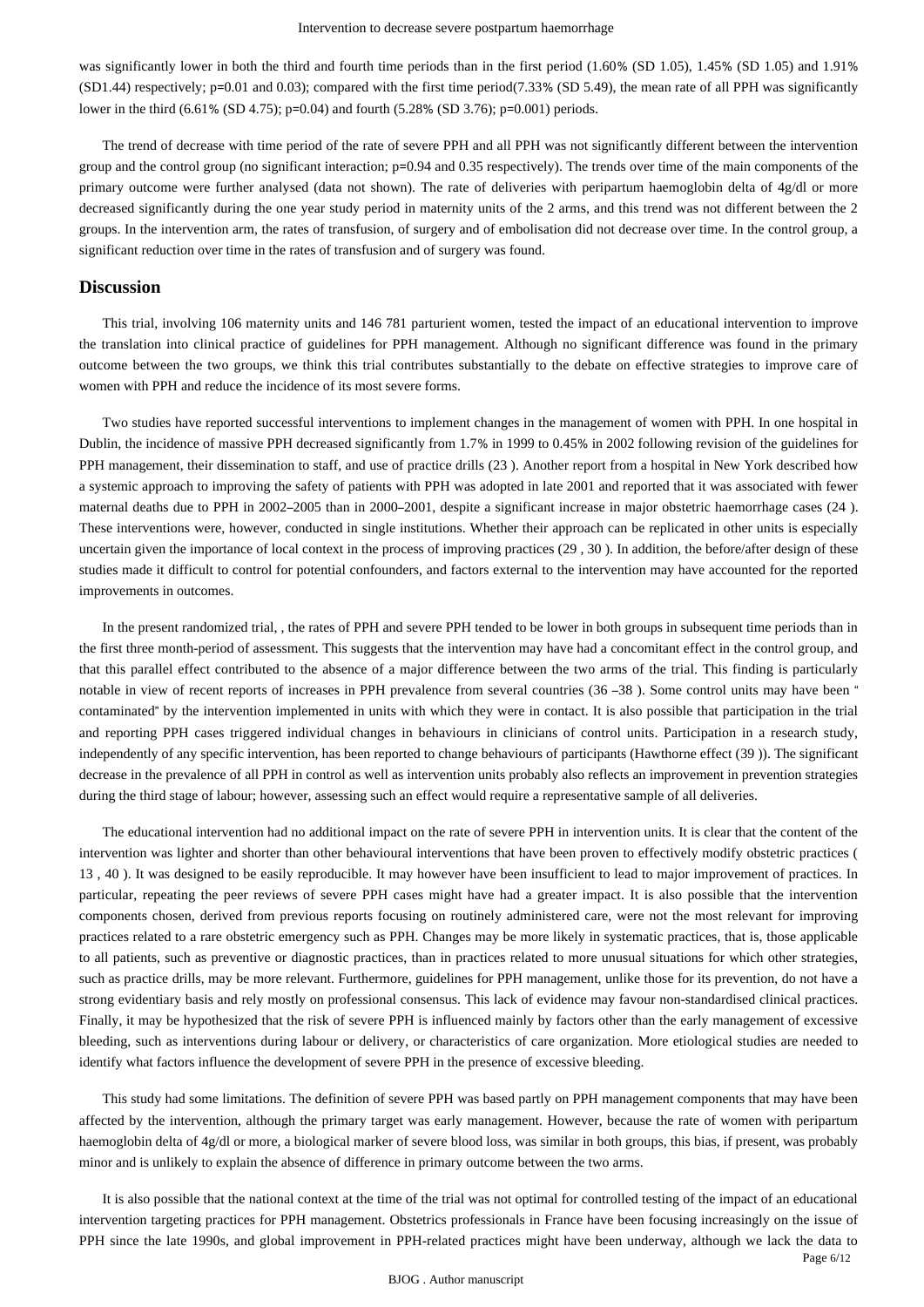was significantly lower in both the third and fourth time periods than in the first period (1.60% (SD 1.05), 1.45% (SD 1.05) and 1.91% (SD1.44) respectively; p=0.01 and 0.03); compared with the first time period(7.33% (SD 5.49), the mean rate of all PPH was significantly lower in the third (6.61% (SD 4.75); p=0.04) and fourth (5.28% (SD 3.76); p=0.001) periods.

The trend of decrease with time period of the rate of severe PPH and all PPH was not significantly different between the intervention group and the control group (no significant interaction; p=0.94 and 0.35 respectively). The trends over time of the main components of the primary outcome were further analysed (data not shown). The rate of deliveries with peripartum haemoglobin delta of  $4g/d$  or more decreased significantly during the one year study period in maternity units of the 2 arms, and this trend was not different between the 2 groups. In the intervention arm, the rates of transfusion, of surgery and of embolisation did not decrease over time. In the control group, a significant reduction over time in the rates of transfusion and of surgery was found.

## **Discussion**

This trial, involving 106 maternity units and 146 781 parturient women, tested the impact of an educational intervention to improve the translation into clinical practice of guidelines for PPH management. Although no significant difference was found in the primary outcome between the two groups, we think this trial contributes substantially to the debate on effective strategies to improve care of women with PPH and reduce the incidence of its most severe forms.

Two studies have reported successful interventions to implement changes in the management of women with PPH. In one hospital in Dublin, the incidence of massive PPH decreased significantly from 1.7% in 1999 to 0.45% in 2002 following revision of the guidelines for PPH management, their dissemination to staff, and use of practice drills (23 ). Another report from a hospital in New York described how a systemic approach to improving the safety of patients with PPH was adopted in late 2001 and reported that it was associated with fewer maternal deaths due to PPH in 2002–2005 than in 2000–2001, despite a significant increase in major obstetric haemorrhage cases (24 ). These interventions were, however, conducted in single institutions. Whether their approach can be replicated in other units is especially uncertain given the importance of local context in the process of improving practices (29 , 30 ). In addition, the before/after design of these studies made it difficult to control for potential confounders, and factors external to the intervention may have accounted for the reported improvements in outcomes.

In the present randomized trial, , the rates of PPH and severe PPH tended to be lower in both groups in subsequent time periods than in the first three month-period of assessment. This suggests that the intervention may have had a concomitant effect in the control group, and that this parallel effect contributed to the absence of a major difference between the two arms of the trial. This finding is particularly notable in view of recent reports of increases in PPH prevalence from several countries (36 –38 ). Some control units may have been " contaminated" by the intervention implemented in units with which they were in contact. It is also possible that participation in the trial and reporting PPH cases triggered individual changes in behaviours in clinicians of control units. Participation in a research study, independently of any specific intervention, has been reported to change behaviours of participants (Hawthorne effect (39 )). The significant decrease in the prevalence of all PPH in control as well as intervention units probably also reflects an improvement in prevention strategies during the third stage of labour; however, assessing such an effect would require a representative sample of all deliveries.

The educational intervention had no additional impact on the rate of severe PPH in intervention units. It is clear that the content of the intervention was lighter and shorter than other behavioural interventions that have been proven to effectively modify obstetric practices ( 13 , 40 ). It was designed to be easily reproducible. It may however have been insufficient to lead to major improvement of practices. In particular, repeating the peer reviews of severe PPH cases might have had a greater impact. It is also possible that the intervention components chosen, derived from previous reports focusing on routinely administered care, were not the most relevant for improving practices related to a rare obstetric emergency such as PPH. Changes may be more likely in systematic practices, that is, those applicable to all patients, such as preventive or diagnostic practices, than in practices related to more unusual situations for which other strategies, such as practice drills, may be more relevant. Furthermore, guidelines for PPH management, unlike those for its prevention, do not have a strong evidentiary basis and rely mostly on professional consensus. This lack of evidence may favour non-standardised clinical practices. Finally, it may be hypothesized that the risk of severe PPH is influenced mainly by factors other than the early management of excessive bleeding, such as interventions during labour or delivery, or characteristics of care organization. More etiological studies are needed to identify what factors influence the development of severe PPH in the presence of excessive bleeding.

This study had some limitations. The definition of severe PPH was based partly on PPH management components that may have been affected by the intervention, although the primary target was early management. However, because the rate of women with peripartum haemoglobin delta of 4g/dl or more, a biological marker of severe blood loss, was similar in both groups, this bias, if present, was probably minor and is unlikely to explain the absence of difference in primary outcome between the two arms.

It is also possible that the national context at the time of the trial was not optimal for controlled testing of the impact of an educational intervention targeting practices for PPH management. Obstetrics professionals in France have been focusing increasingly on the issue of PPH since the late 1990s, and global improvement in PPH-related practices might have been underway, although we lack the data to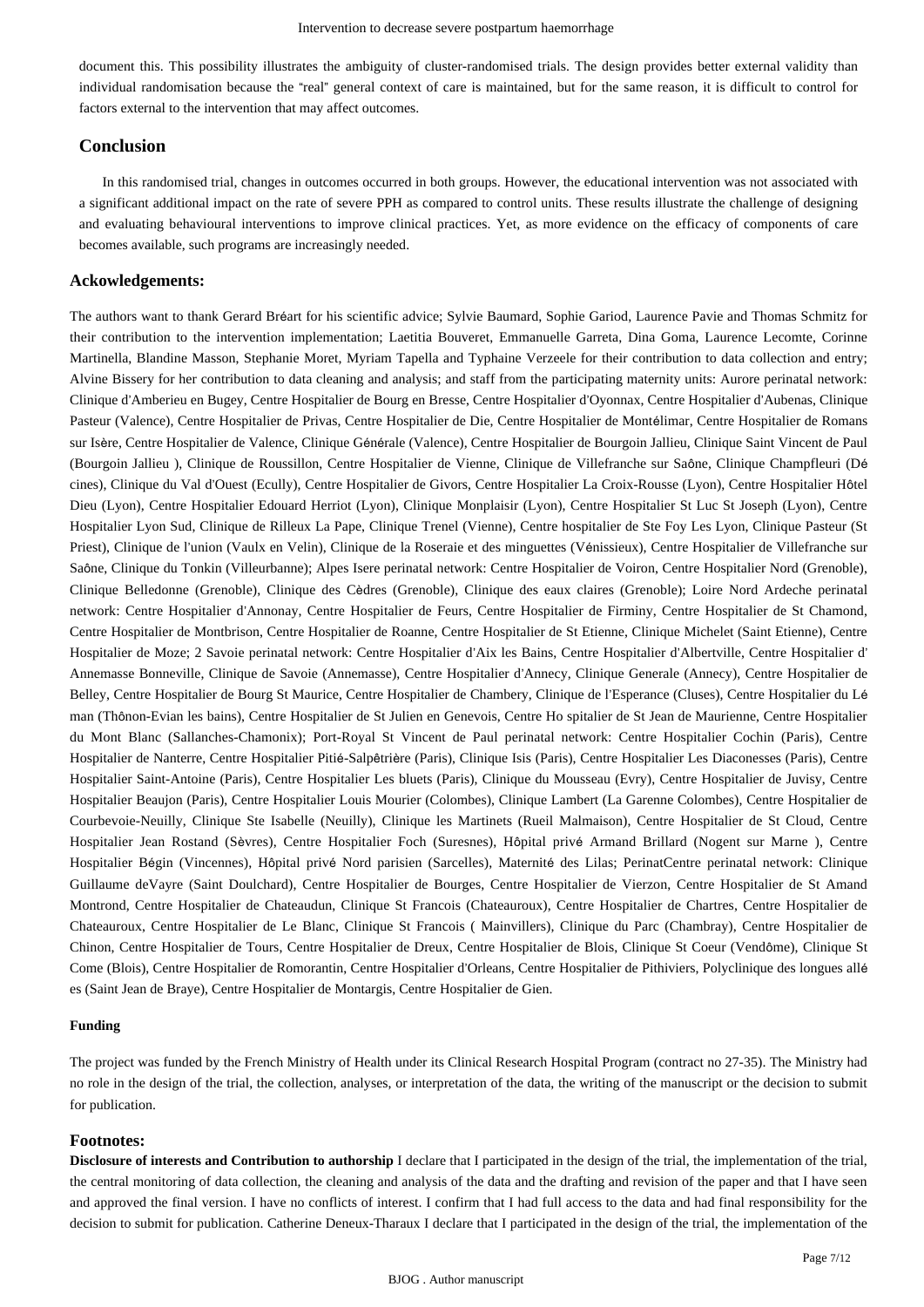document this. This possibility illustrates the ambiguity of cluster-randomised trials. The design provides better external validity than individual randomisation because the "real" general context of care is maintained, but for the same reason, it is difficult to control for factors external to the intervention that may affect outcomes.

## **Conclusion**

In this randomised trial, changes in outcomes occurred in both groups. However, the educational intervention was not associated with a significant additional impact on the rate of severe PPH as compared to control units. These results illustrate the challenge of designing and evaluating behavioural interventions to improve clinical practices. Yet, as more evidence on the efficacy of components of care becomes available, such programs are increasingly needed.

## **Ackowledgements:**

The authors want to thank Gerard Bréart for his scientific advice; Sylvie Baumard, Sophie Gariod, Laurence Pavie and Thomas Schmitz for their contribution to the intervention implementation; Laetitia Bouveret, Emmanuelle Garreta, Dina Goma, Laurence Lecomte, Corinne Martinella, Blandine Masson, Stephanie Moret, Myriam Tapella and Typhaine Verzeele for their contribution to data collection and entry; Alvine Bissery for her contribution to data cleaning and analysis; and staff from the participating maternity units: Aurore perinatal network: Clinique d'Amberieu en Bugey, Centre Hospitalier de Bourg en Bresse, Centre Hospitalier d'Oyonnax, Centre Hospitalier d'Aubenas, Clinique Pasteur (Valence), Centre Hospitalier de Privas, Centre Hospitalier de Die, Centre Hospitalier de Montélimar, Centre Hospitalier de Romans sur Isère, Centre Hospitalier de Valence, Clinique Générale (Valence), Centre Hospitalier de Bourgoin Jallieu, Clinique Saint Vincent de Paul (Bourgoin Jallieu ), Clinique de Roussillon, Centre Hospitalier de Vienne, Clinique de Villefranche sur Saône, Clinique Champfleuri (Dé cines), Clinique du Val d'Ouest (Ecully), Centre Hospitalier de Givors, Centre Hospitalier La Croix-Rousse (Lyon), Centre Hospitalier Hôtel Dieu (Lyon), Centre Hospitalier Edouard Herriot (Lyon), Clinique Monplaisir (Lyon), Centre Hospitalier St Luc St Joseph (Lyon), Centre Hospitalier Lyon Sud, Clinique de Rilleux La Pape, Clinique Trenel (Vienne), Centre hospitalier de Ste Foy Les Lyon, Clinique Pasteur (St Priest), Clinique de l'union (Vaulx en Velin), Clinique de la Roseraie et des minguettes (Vénissieux), Centre Hospitalier de Villefranche sur Saône, Clinique du Tonkin (Villeurbanne); Alpes Isere perinatal network: Centre Hospitalier de Voiron, Centre Hospitalier Nord (Grenoble), Clinique Belledonne (Grenoble), Clinique des Cèdres (Grenoble), Clinique des eaux claires (Grenoble); Loire Nord Ardeche perinatal network: Centre Hospitalier d'Annonay, Centre Hospitalier de Feurs, Centre Hospitalier de Firminy, Centre Hospitalier de St Chamond, Centre Hospitalier de Montbrison, Centre Hospitalier de Roanne, Centre Hospitalier de St Etienne, Clinique Michelet (Saint Etienne), Centre Hospitalier de Moze; 2 Savoie perinatal network: Centre Hospitalier d'Aix les Bains, Centre Hospitalier d'Albertville, Centre Hospitalier d' Annemasse Bonneville, Clinique de Savoie (Annemasse), Centre Hospitalier d'Annecy, Clinique Generale (Annecy), Centre Hospitalier de Belley, Centre Hospitalier de Bourg St Maurice, Centre Hospitalier de Chambery, Clinique de l'Esperance (Cluses), Centre Hospitalier du Lé man (Thônon-Evian les bains), Centre Hospitalier de St Julien en Genevois, Centre Ho spitalier de St Jean de Maurienne, Centre Hospitalier du Mont Blanc (Sallanches-Chamonix); Port-Royal St Vincent de Paul perinatal network: Centre Hospitalier Cochin (Paris), Centre Hospitalier de Nanterre, Centre Hospitalier Pitié-Salpêtrière (Paris), Clinique Isis (Paris), Centre Hospitalier Les Diaconesses (Paris), Centre Hospitalier Saint-Antoine (Paris), Centre Hospitalier Les bluets (Paris), Clinique du Mousseau (Evry), Centre Hospitalier de Juvisy, Centre Hospitalier Beaujon (Paris), Centre Hospitalier Louis Mourier (Colombes), Clinique Lambert (La Garenne Colombes), Centre Hospitalier de Courbevoie-Neuilly, Clinique Ste Isabelle (Neuilly), Clinique les Martinets (Rueil Malmaison), Centre Hospitalier de St Cloud, Centre Hospitalier Jean Rostand (Sèvres), Centre Hospitalier Foch (Suresnes), Hôpital privé Armand Brillard (Nogent sur Marne ), Centre Hospitalier Bégin (Vincennes), Hôpital privé Nord parisien (Sarcelles), Maternité des Lilas; PerinatCentre perinatal network: Clinique Guillaume deVayre (Saint Doulchard), Centre Hospitalier de Bourges, Centre Hospitalier de Vierzon, Centre Hospitalier de St Amand Montrond, Centre Hospitalier de Chateaudun, Clinique St Francois (Chateauroux), Centre Hospitalier de Chartres, Centre Hospitalier de Chateauroux, Centre Hospitalier de Le Blanc, Clinique St Francois ( Mainvillers), Clinique du Parc (Chambray), Centre Hospitalier de Chinon, Centre Hospitalier de Tours, Centre Hospitalier de Dreux, Centre Hospitalier de Blois, Clinique St Coeur (Vendôme), Clinique St Come (Blois), Centre Hospitalier de Romorantin, Centre Hospitalier d'Orleans, Centre Hospitalier de Pithiviers, Polyclinique des longues allé es (Saint Jean de Braye), Centre Hospitalier de Montargis, Centre Hospitalier de Gien.

## **Funding**

The project was funded by the French Ministry of Health under its Clinical Research Hospital Program (contract no 27-35). The Ministry had no role in the design of the trial, the collection, analyses, or interpretation of the data, the writing of the manuscript or the decision to submit for publication.

## **Footnotes:**

**Disclosure of interests and Contribution to authorship** I declare that I participated in the design of the trial, the implementation of the trial, the central monitoring of data collection, the cleaning and analysis of the data and the drafting and revision of the paper and that I have seen and approved the final version. I have no conflicts of interest. I confirm that I had full access to the data and had final responsibility for the decision to submit for publication. Catherine Deneux-Tharaux I declare that I participated in the design of the trial, the implementation of the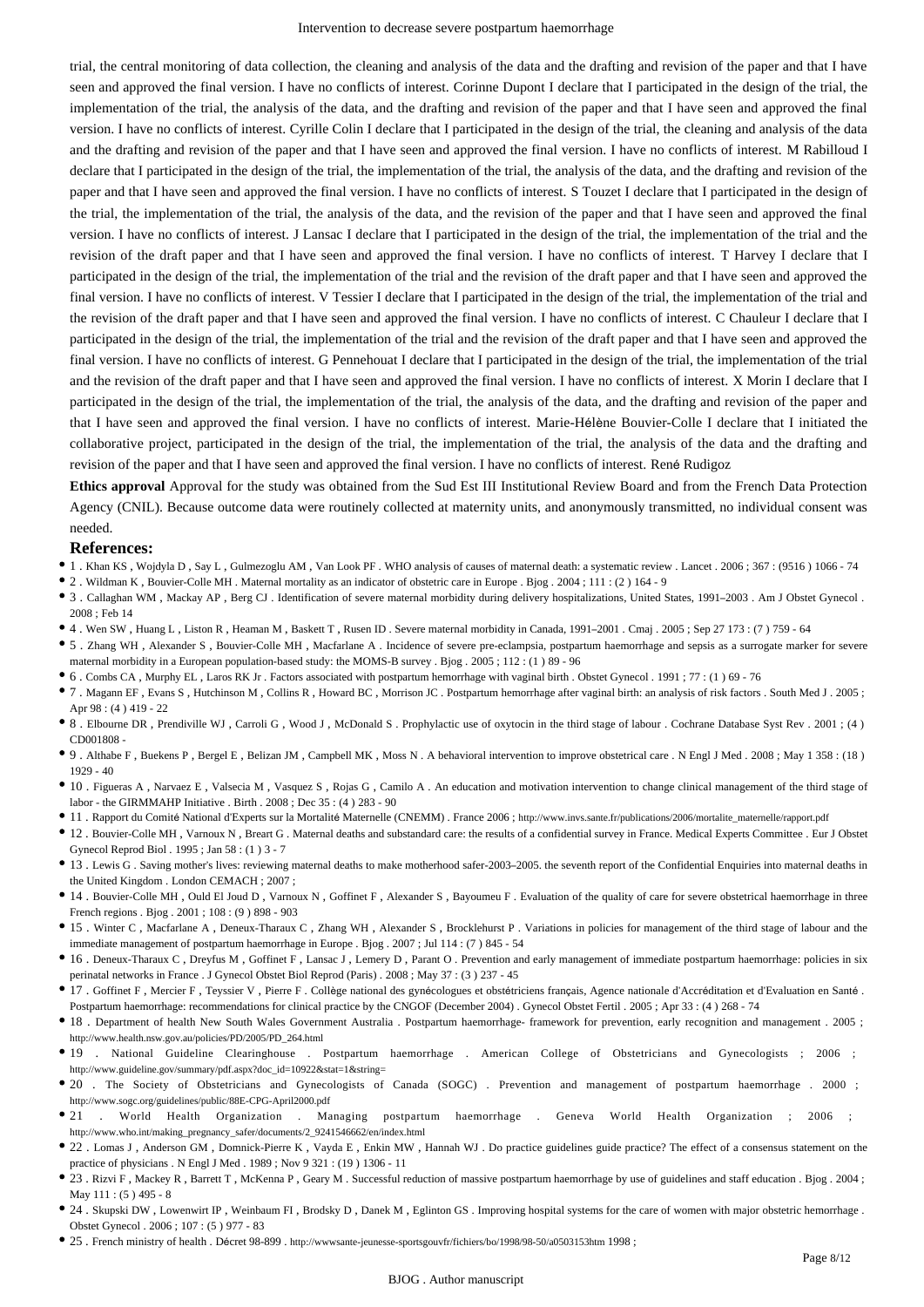trial, the central monitoring of data collection, the cleaning and analysis of the data and the drafting and revision of the paper and that I have seen and approved the final version. I have no conflicts of interest. Corinne Dupont I declare that I participated in the design of the trial, the implementation of the trial, the analysis of the data, and the drafting and revision of the paper and that I have seen and approved the final version. I have no conflicts of interest. Cyrille Colin I declare that I participated in the design of the trial, the cleaning and analysis of the data and the drafting and revision of the paper and that I have seen and approved the final version. I have no conflicts of interest. M Rabilloud I declare that I participated in the design of the trial, the implementation of the trial, the analysis of the data, and the drafting and revision of the paper and that I have seen and approved the final version. I have no conflicts of interest. S Touzet I declare that I participated in the design of the trial, the implementation of the trial, the analysis of the data, and the revision of the paper and that I have seen and approved the final version. I have no conflicts of interest. J Lansac I declare that I participated in the design of the trial, the implementation of the trial and the revision of the draft paper and that I have seen and approved the final version. I have no conflicts of interest. T Harvey I declare that I participated in the design of the trial, the implementation of the trial and the revision of the draft paper and that I have seen and approved the final version. I have no conflicts of interest. V Tessier I declare that I participated in the design of the trial, the implementation of the trial and the revision of the draft paper and that I have seen and approved the final version. I have no conflicts of interest. C Chauleur I declare that I participated in the design of the trial, the implementation of the trial and the revision of the draft paper and that I have seen and approved the final version. I have no conflicts of interest. G Pennehouat I declare that I participated in the design of the trial, the implementation of the trial and the revision of the draft paper and that I have seen and approved the final version. I have no conflicts of interest. X Morin I declare that I participated in the design of the trial, the implementation of the trial, the analysis of the data, and the drafting and revision of the paper and that I have seen and approved the final version. I have no conflicts of interest. Marie-Hélène Bouvier-Colle I declare that I initiated the collaborative project, participated in the design of the trial, the implementation of the trial, the analysis of the data and the drafting and revision of the paper and that I have seen and approved the final version. I have no conflicts of interest. René Rudigoz

**Ethics approval** Approval for the study was obtained from the Sud Est III Institutional Review Board and from the French Data Protection Agency (CNIL). Because outcome data were routinely collected at maternity units, and anonymously transmitted, no individual consent was needed.

#### **References:**

- 1 . Khan KS , Wojdyla D , Say L , Gulmezoglu AM , Van Look PF . WHO analysis of causes of maternal death: a systematic review . Lancet . 2006 ; 367 : (9516 ) 1066 74
- 2 . Wildman K , Bouvier-Colle MH . Maternal mortality as an indicator of obstetric care in Europe . Bjog . 2004 ; 111 : (2 ) 164 9
- 3 . Callaghan WM , Mackay AP , Berg CJ . Identification of severe maternal morbidity during delivery hospitalizations, United States, 1991–2003 . Am J Obstet Gynecol . 2008 ; Feb 14
- 4 . Wen SW , Huang L , Liston R , Heaman M , Baskett T , Rusen ID . Severe maternal morbidity in Canada, 1991–2001 . Cmaj . 2005 ; Sep 27 173 : (7 ) 759 64
- 5 . Zhang WH , Alexander S , Bouvier-Colle MH , Macfarlane A . Incidence of severe pre-eclampsia, postpartum haemorrhage and sepsis as a surrogate marker for severe maternal morbidity in a European population-based study: the MOMS-B survey . Bjog . 2005 ; 112 : (1 ) 89 - 96
- 6 . Combs CA , Murphy EL , Laros RK Jr . Factors associated with postpartum hemorrhage with vaginal birth . Obstet Gynecol . 1991 ; 77 : (1 ) 69 76
- 7 . Magann EF , Evans S , Hutchinson M , Collins R , Howard BC , Morrison JC . Postpartum hemorrhage after vaginal birth: an analysis of risk factors . South Med J . 2005 ; Apr 98 : (4 ) 419 - 22
- 8 . Elbourne DR , Prendiville WJ , Carroli G , Wood J , McDonald S . Prophylactic use of oxytocin in the third stage of labour . Cochrane Database Syst Rev . 2001 ; (4 ) CD001808 -
- 9 . Althabe F , Buekens P , Bergel E , Belizan JM , Campbell MK , Moss N . A behavioral intervention to improve obstetrical care . N Engl J Med . 2008 ; May 1 358 : (18 ) 1929 - 40
- 10 . Figueras A , Narvaez E , Valsecia M , Vasquez S , Rojas G , Camilo A . An education and motivation intervention to change clinical management of the third stage of labor - the GIRMMAHP Initiative . Birth . 2008 ; Dec 35 : (4 ) 283 - 90
- 11 . Rapport du Comité National d'Experts sur la Mortalité Maternelle (CNEMM) . France 2006 ; http://www.invs.sante.fr/publications/2006/mortalite\_maternelle/rapport.pdf
- 12 . Bouvier-Colle MH , Varnoux N , Breart G . Maternal deaths and substandard care: the results of a confidential survey in France. Medical Experts Committee . Eur J Obstet Gynecol Reprod Biol . 1995 ; Jan 58 : (1 ) 3 - 7
- 13 . Lewis G . Saving mother's lives: reviewing maternal deaths to make motherhood safer-2003–2005. the seventh report of the Confidential Enquiries into maternal deaths in the United Kingdom . London CEMACH : 2007 :
- 14 . Bouvier-Colle MH , Ould El Joud D , Varnoux N , Goffinet F , Alexander S , Bayoumeu F . Evaluation of the quality of care for severe obstetrical haemorrhage in three French regions . Bjog . 2001 ; 108 : (9 ) 898 - 903
- 15 . Winter C , Macfarlane A , Deneux-Tharaux C , Zhang WH , Alexander S , Brocklehurst P . Variations in policies for management of the third stage of labour and the immediate management of postpartum haemorrhage in Europe . Bjog . 2007 ; Jul 114 : (7 ) 845 - 54
- 16 . Deneux-Tharaux C , Dreyfus M , Goffinet F , Lansac J , Lemery D , Parant O . Prevention and early management of immediate postpartum haemorrhage: policies in six perinatal networks in France . J Gynecol Obstet Biol Reprod (Paris) . 2008 ; May 37 : (3 ) 237 - 45
- 17 . Goffinet F , Mercier F , Teyssier V , Pierre F . Collège national des gynécologues et obstétriciens français, Agence nationale d'Accréditation et d'Evaluation en Santé .
- Postpartum haemorrhage: recommendations for clinical practice by the CNGOF (December 2004) . Gynecol Obstet Fertil . 2005 ; Apr 33 : (4 ) 268 74
- 18 . Department of health New South Wales Government Australia . Postpartum haemorrhage- framework for prevention, early recognition and management . 2005 ; http://www.health.nsw.gov.au/policies/PD/2005/PD\_264.html
- 19 . National Guideline Clearinghouse . Postpartum haemorrhage . American College of Obstetricians and Gynecologists ; 2006 ; http://www.guideline.gov/summary/pdf.aspx?doc\_id=10922&stat=1&string=
- 20 . The Society of Obstetricians and Gynecologists of Canada (SOGC) . Prevention and management of postpartum haemorrhage . 2000 ; http://www.sogc.org/guidelines/public/88E-CPG-April2000.pdf
- 21 . World Health Organization . Managing postpartum haemorrhage . Geneva World Health Organization ; 2006 ; http://www.who.int/making\_pregnancy\_safer/documents/2\_9241546662/en/index.html
- 22 . Lomas J , Anderson GM , Domnick-Pierre K , Vayda E , Enkin MW , Hannah WJ . Do practice guidelines guide practice? The effect of a consensus statement on the practice of physicians . N Engl J Med . 1989 ; Nov 9 321 : (19 ) 1306 - 11
- 23 . Rizvi F , Mackey R , Barrett T , McKenna P , Geary M . Successful reduction of massive postpartum haemorrhage by use of guidelines and staff education . Bjog . 2004 ; May 111 : (5 ) 495 - 8
- 24 . Skupski DW , Lowenwirt IP , Weinbaum FI , Brodsky D , Danek M , Eglinton GS . Improving hospital systems for the care of women with major obstetric hemorrhage . Obstet Gynecol . 2006 ; 107 : (5 ) 977 - 83
- 25 . French ministry of health . Décret 98-899 . http://wwwsante-jeunesse-sportsgouvfr/fichiers/bo/1998/98-50/a0503153htm 1998 ;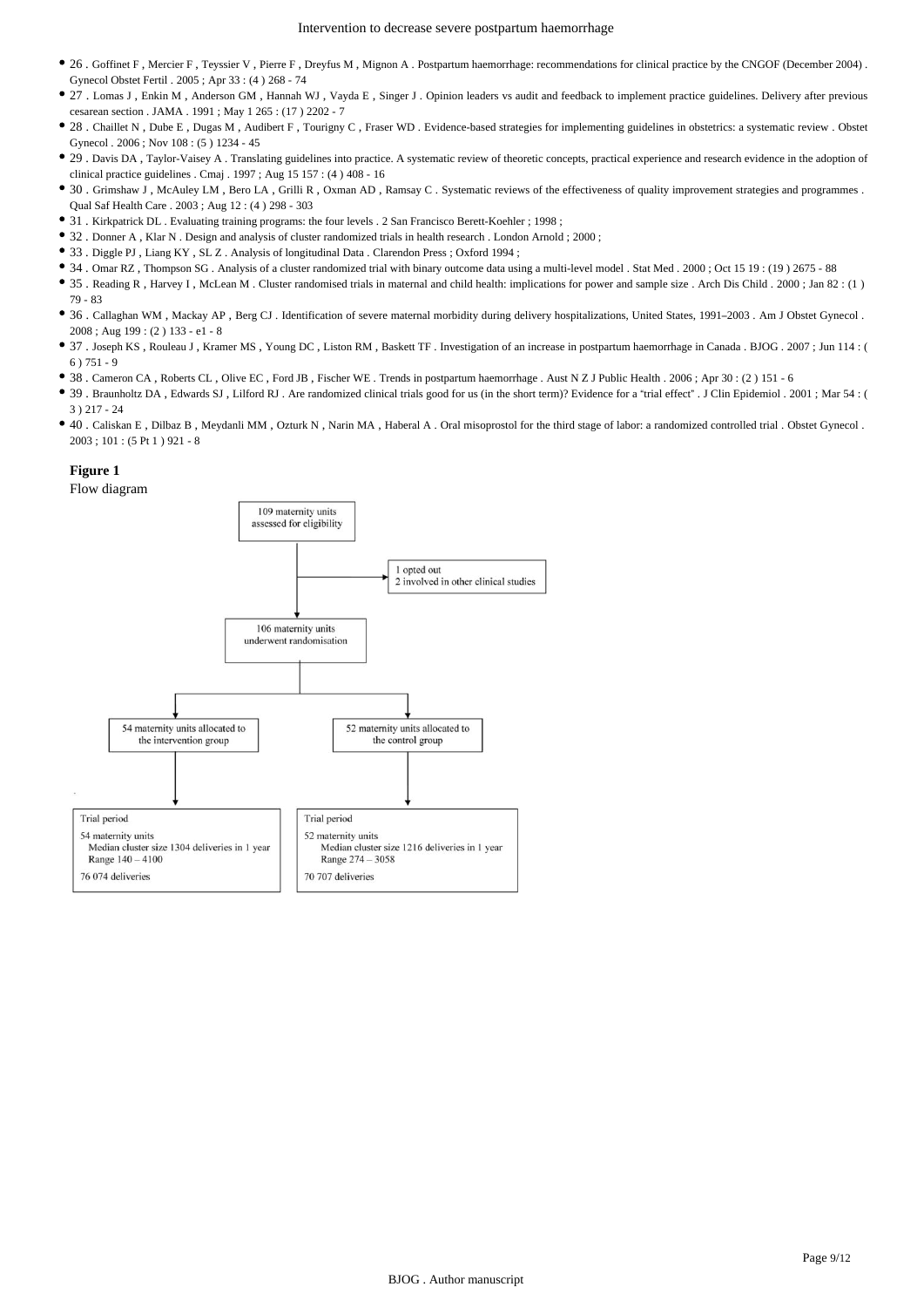- 26 . Goffinet F , Mercier F , Teyssier V , Pierre F , Dreyfus M , Mignon A . Postpartum haemorrhage: recommendations for clinical practice by the CNGOF (December 2004) . Gynecol Obstet Fertil . 2005 ; Apr 33 : (4 ) 268 - 74
- 27 . Lomas J , Enkin M , Anderson GM , Hannah WJ , Vayda E , Singer J . Opinion leaders vs audit and feedback to implement practice guidelines. Delivery after previous cesarean section . JAMA . 1991 ; May 1 265 : (17 ) 2202 - 7
- 28 . Chaillet N, Dube E, Dugas M, Audibert F, Tourigny C, Fraser WD. Evidence-based strategies for implementing guidelines in obstetrics: a systematic review . Obstet Gynecol . 2006 ; Nov 108 : (5 ) 1234 - 45
- 29 . Davis DA , Taylor-Vaisey A . Translating guidelines into practice. A systematic review of theoretic concepts, practical experience and research evidence in the adoption of clinical practice guidelines . Cmaj . 1997 ; Aug 15 157 : (4 ) 408 - 16
- 30 . Grimshaw J , McAuley LM , Bero LA , Grilli R , Oxman AD , Ramsay C . Systematic reviews of the effectiveness of quality improvement strategies and programmes . Qual Saf Health Care . 2003 ; Aug 12 : (4 ) 298 - 303
- 31 . Kirkpatrick DL . Evaluating training programs: the four levels . 2 San Francisco Berett-Koehler ; 1998 ;
- 32 . Donner A , Klar N . Design and analysis of cluster randomized trials in health research . London Arnold ; 2000 ;
- 33 . Diggle PJ , Liang KY , SL Z . Analysis of longitudinal Data . Clarendon Press ; Oxford 1994 ;
- 34 . Omar RZ , Thompson SG . Analysis of a cluster randomized trial with binary outcome data using a multi-level model . Stat Med . 2000 ; Oct 15 19 : (19 ) 2675 88
- 35 . Reading R , Harvey I , McLean M . Cluster randomised trials in maternal and child health: implications for power and sample size . Arch Dis Child . 2000 ; Jan 82 : (1 ) 79 - 83
- 36 . Callaghan WM , Mackay AP , Berg CJ . Identification of severe maternal morbidity during delivery hospitalizations, United States, 1991–2003 . Am J Obstet Gynecol . 2008 ; Aug 199 : (2 ) 133 - e1 - 8
- 37 . Joseph KS , Rouleau J , Kramer MS , Young DC , Liston RM , Baskett TF . Investigation of an increase in postpartum haemorrhage in Canada . BJOG . 2007 ; Jun 114 : ( 6 ) 751 - 9
- 38 . Cameron CA , Roberts CL , Olive EC , Ford JB , Fischer WE . Trends in postpartum haemorrhage . Aust N Z J Public Health . 2006 ; Apr 30 : (2 ) 151 6
- 39 . Braunholtz DA , Edwards SJ , Lilford RJ . Are randomized clinical trials good for us (in the short term)? Evidence for a "trial effect" . J Clin Epidemiol . 2001 ; Mar 54 : ( 3 ) 217 - 24
- 40 . Caliskan E , Dilbaz B , Meydanli MM , Ozturk N , Narin MA , Haberal A . Oral misoprostol for the third stage of labor: a randomized controlled trial . Obstet Gynecol . 2003 ; 101 : (5 Pt 1 ) 921 - 8

#### **Figure 1**

Flow diagram

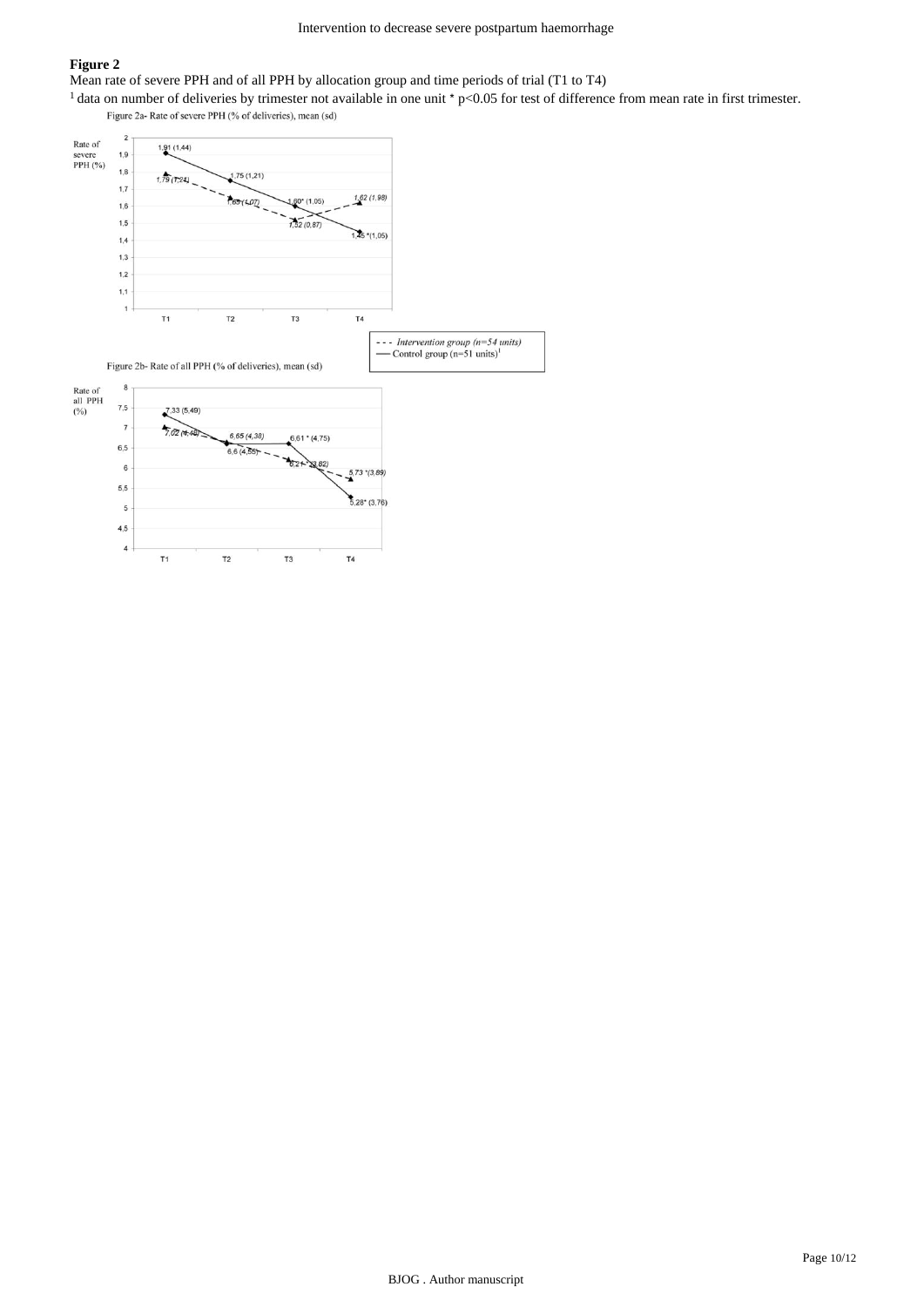## **Figure 2**

Mean rate of severe PPH and of all PPH by allocation group and time periods of trial (T1 to T4)

<sup>1</sup> data on number of deliveries by trimester not available in one unit  $\gamma$  p<0.05 for test of difference from mean rate in first trimester.

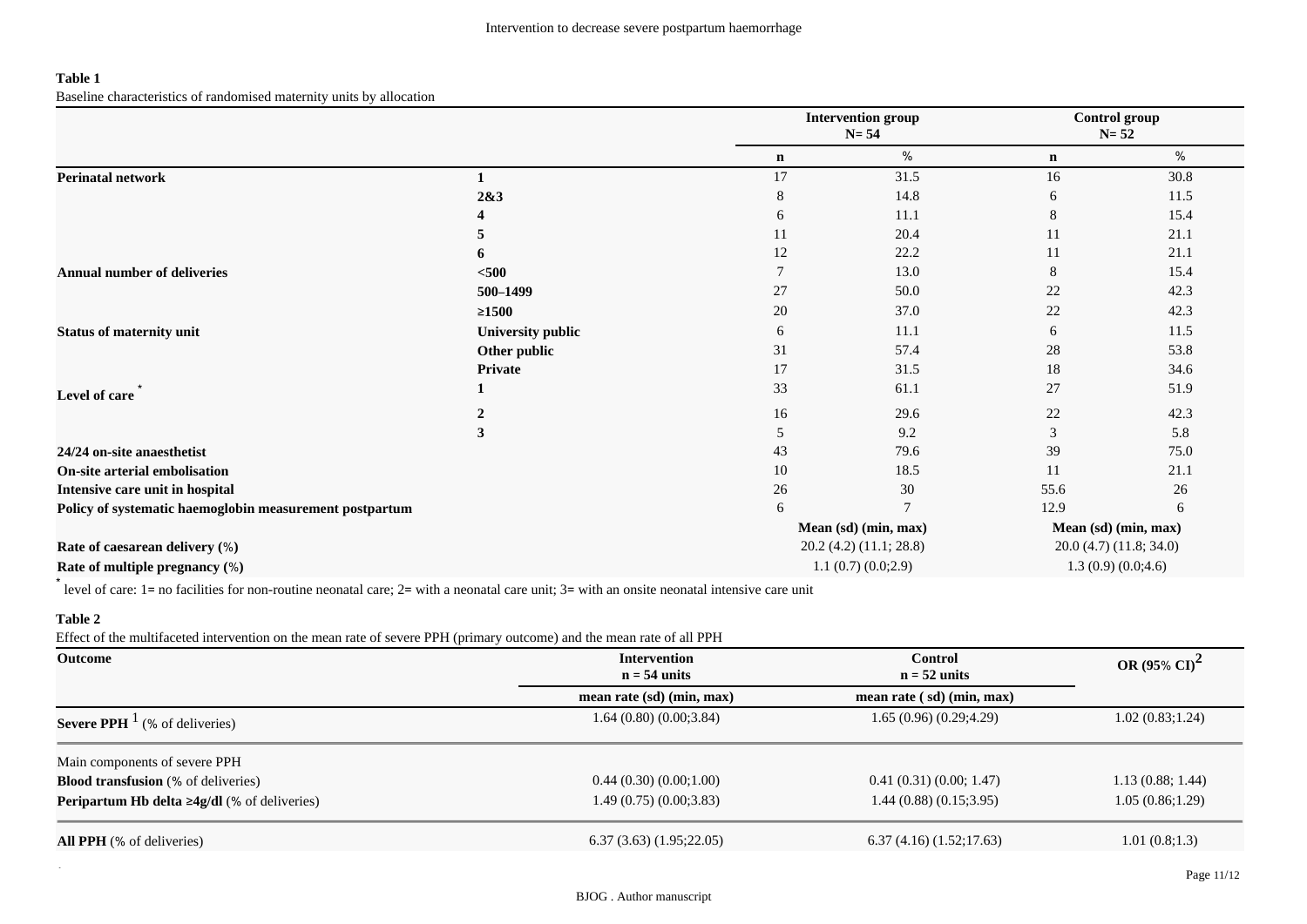## **Table 1**

Baseline characteristics of randomised maternity units by allocation

|                                                         |                          | <b>Intervention group</b><br>$N = 54$ |                                                                         | Control group<br>$N = 52$ |                      |  |
|---------------------------------------------------------|--------------------------|---------------------------------------|-------------------------------------------------------------------------|---------------------------|----------------------|--|
|                                                         |                          | $\mathbf n$                           | %                                                                       | $\mathbf n$               | %                    |  |
| <b>Perinatal network</b>                                |                          | 17                                    | 31.5                                                                    | 16                        | 30.8                 |  |
|                                                         | 2&3                      | 8                                     | 14.8                                                                    | 6                         | 11.5                 |  |
|                                                         |                          | 6                                     | 11.1                                                                    | 8                         | 15.4                 |  |
|                                                         | 5                        | 11                                    | 20.4                                                                    | 11                        | 21.1                 |  |
|                                                         | 6                        | 12                                    | 22.2                                                                    | 11                        | 21.1                 |  |
| <b>Annual number of deliveries</b>                      | $500$                    |                                       | 13.0                                                                    | 8                         | 15.4                 |  |
|                                                         | 500-1499                 | 27                                    | 50.0                                                                    | 22                        | 42.3                 |  |
|                                                         | $\geq 1500$              | 20                                    | 37.0                                                                    | 22                        | 42.3                 |  |
| <b>Status of maternity unit</b>                         | <b>University public</b> | 6                                     | 11.1                                                                    | 6                         | 11.5                 |  |
| Level of care                                           | Other public             | 31                                    | 57.4                                                                    | 28                        | 53.8                 |  |
|                                                         | Private                  | 17                                    | 31.5                                                                    | 18                        | 34.6                 |  |
|                                                         |                          | 33                                    | 61.1                                                                    | 27                        | 51.9                 |  |
|                                                         |                          | 16                                    | 29.6                                                                    | 22                        | 42.3                 |  |
|                                                         | 3                        | 5                                     | 9.2                                                                     | 3                         | 5.8                  |  |
| 24/24 on-site anaesthetist                              |                          | 43                                    | 79.6                                                                    | 39                        | 75.0                 |  |
| On-site arterial embolisation                           |                          | 10                                    | 18.5                                                                    | 11                        | 21.1                 |  |
| Intensive care unit in hospital                         |                          | 26                                    | 30                                                                      | 55.6                      | 26                   |  |
| Policy of systematic haemoglobin measurement postpartum |                          | 6                                     |                                                                         | 12.9                      | 6                    |  |
|                                                         |                          |                                       | Mean (sd) (min, max)                                                    |                           | Mean (sd) (min, max) |  |
| Rate of caesarean delivery (%)                          |                          |                                       | $20.2$ (4.2) (11.1; 28.8)<br>20.0(4.7)(11.8; 34.0)<br>1.3(0.9)(0.0;4.6) |                           |                      |  |
| Rate of multiple pregnancy (%)                          |                          |                                       | 1.1(0.7)(0.0;2.9)                                                       |                           |                      |  |

\* level of care: 1= no facilities for non-routine neonatal care; 2= with a neonatal care unit; 3= with an onsite neonatal intensive care unit

## **Table 2**

Effect of the multifaceted intervention on the mean rate of severe PPH (primary outcome) and the mean rate of all PPH

| Outcome                                                              | <b>Control</b><br><b>Intervention</b><br>$n = 54$ units<br>$n = 52$ units |                                                 | OR (95% $CI)^2$  |  |
|----------------------------------------------------------------------|---------------------------------------------------------------------------|-------------------------------------------------|------------------|--|
|                                                                      | mean rate (sd) (min, max)                                                 | mean rate $\left(\mathrm{sd}\right)$ (min, max) |                  |  |
| <b>Severe PPH</b> $^1$ (% of deliveries)                             | 1.64(0.80)(0.00; 3.84)                                                    | 1.65(0.96)(0.29;4.29)                           | 1.02(0.83;1.24)  |  |
| Main components of severe PPH                                        |                                                                           |                                                 |                  |  |
| <b>Blood transfusion</b> (% of deliveries)                           | 0.44(0.30)(0.00,1.00)                                                     | 0.41(0.31)(0.00; 1.47)                          | 1.13(0.88; 1.44) |  |
| <b>Peripartum Hb delta <math>\geq 4g/dl</math></b> (% of deliveries) | 1.49(0.75)(0.0033.83)                                                     | 1.44(0.88)(0.15;3.95)                           | 1.05(0.86;1.29)  |  |
| <b>All PPH</b> (% of deliveries)                                     | (1.95;22.05)                                                              | 6.37(4.16)(1.52;17.63)                          | 1.01(0.8;1.3)    |  |